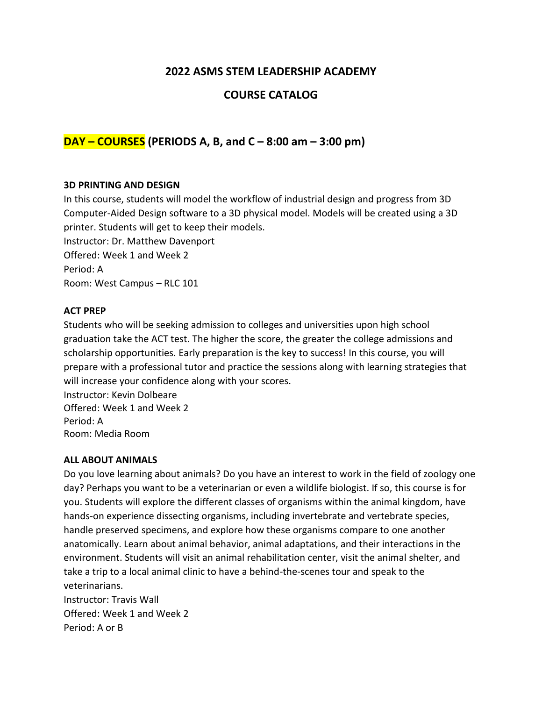# **2022 ASMS STEM LEADERSHIP ACADEMY**

# **COURSE CATALOG**

# **DAY – COURSES (PERIODS A, B, and C – 8:00 am – 3:00 pm)**

#### **3D PRINTING AND DESIGN**

In this course, students will model the workflow of industrial design and progress from 3D Computer-Aided Design software to a 3D physical model. Models will be created using a 3D printer. Students will get to keep their models. Instructor: Dr. Matthew Davenport Offered: Week 1 and Week 2

Period: A

Room: West Campus – RLC 101

### **ACT PREP**

Students who will be seeking admission to colleges and universities upon high school graduation take the ACT test. The higher the score, the greater the college admissions and scholarship opportunities. Early preparation is the key to success! In this course, you will prepare with a professional tutor and practice the sessions along with learning strategies that will increase your confidence along with your scores.

Instructor: Kevin Dolbeare Offered: Week 1 and Week 2 Period: A Room: Media Room

#### **ALL ABOUT ANIMALS**

Do you love learning about animals? Do you have an interest to work in the field of zoology one day? Perhaps you want to be a veterinarian or even a wildlife biologist. If so, this course is for you. Students will explore the different classes of organisms within the animal kingdom, have hands-on experience dissecting organisms, including invertebrate and vertebrate species, handle preserved specimens, and explore how these organisms compare to one another anatomically. Learn about animal behavior, animal adaptations, and their interactions in the environment. Students will visit an animal rehabilitation center, visit the animal shelter, and take a trip to a local animal clinic to have a behind-the-scenes tour and speak to the veterinarians. Instructor: Travis Wall Offered: Week 1 and Week 2

Period: A or B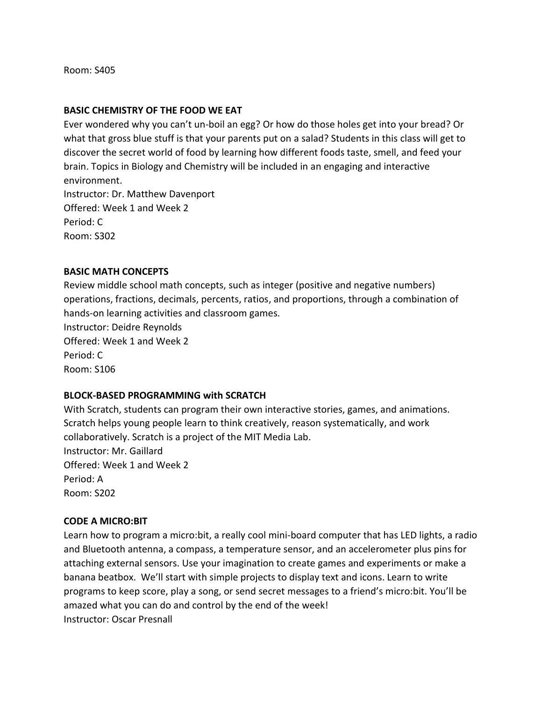Room: S405

#### **BASIC CHEMISTRY OF THE FOOD WE EAT**

Ever wondered why you can't un-boil an egg? Or how do those holes get into your bread? Or what that gross blue stuff is that your parents put on a salad? Students in this class will get to discover the secret world of food by learning how different foods taste, smell, and feed your brain. Topics in Biology and Chemistry will be included in an engaging and interactive environment. Instructor: Dr. Matthew Davenport Offered: Week 1 and Week 2 Period: C Room: S302

#### **BASIC MATH CONCEPTS**

Review middle school math concepts, such as integer (positive and negative numbers) operations, fractions, decimals, percents, ratios, and proportions, through a combination of hands-on learning activities and classroom games.

Instructor: Deidre Reynolds Offered: Week 1 and Week 2 Period: C Room: S106

### **BLOCK-BASED PROGRAMMING with SCRATCH**

With Scratch, students can program their own interactive stories, games, and animations. Scratch helps young people learn to think creatively, reason systematically, and work collaboratively. Scratch is a project of the MIT Media Lab. Instructor: Mr. Gaillard Offered: Week 1 and Week 2 Period: A Room: S202

### **CODE A MICRO:BIT**

Learn how to program a micro:bit, a really cool mini-board computer that has LED lights, a radio and Bluetooth antenna, a compass, a temperature sensor, and an accelerometer plus pins for attaching external sensors. Use your imagination to create games and experiments or make a banana beatbox. We'll start with simple projects to display text and icons. Learn to write programs to keep score, play a song, or send secret messages to a friend's micro:bit. You'll be amazed what you can do and control by the end of the week! Instructor: Oscar Presnall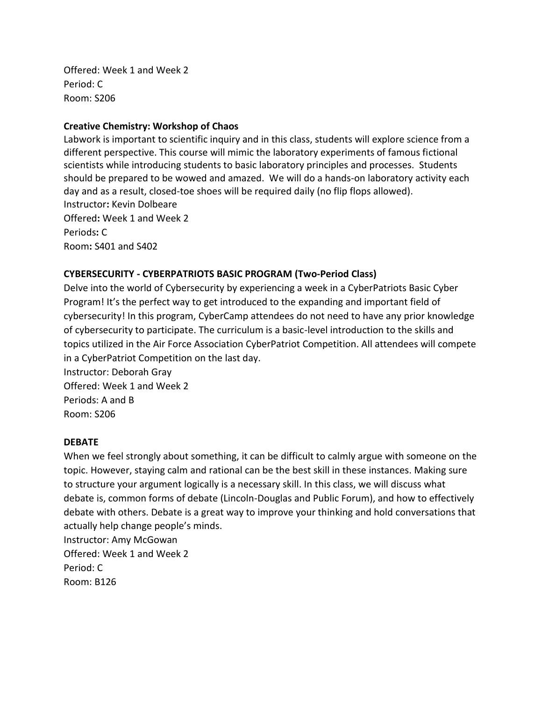Offered: Week 1 and Week 2 Period: C Room: S206

## **Creative Chemistry: Workshop of Chaos**

Labwork is important to scientific inquiry and in this class, students will explore science from a different perspective. This course will mimic the laboratory experiments of famous fictional scientists while introducing students to basic laboratory principles and processes. Students should be prepared to be wowed and amazed. We will do a hands-on laboratory activity each day and as a result, closed-toe shoes will be required daily (no flip flops allowed). Instructor**:** Kevin Dolbeare Offered**:** Week 1 and Week 2 Periods**:** C Room**:** S401 and S402

## **CYBERSECURITY - CYBERPATRIOTS BASIC PROGRAM (Two-Period Class)**

Delve into the world of Cybersecurity by experiencing a week in a CyberPatriots Basic Cyber Program! It's the perfect way to get introduced to the expanding and important field of cybersecurity! In this program, CyberCamp attendees do not need to have any prior knowledge of cybersecurity to participate. The curriculum is a basic-level introduction to the skills and topics utilized in the Air Force Association CyberPatriot Competition. All attendees will compete in a CyberPatriot Competition on the last day.

Instructor: Deborah Gray Offered: Week 1 and Week 2 Periods: A and B Room: S206

### **DEBATE**

When we feel strongly about something, it can be difficult to calmly argue with someone on the topic. However, staying calm and rational can be the best skill in these instances. Making sure to structure your argument logically is a necessary skill. In this class, we will discuss what debate is, common forms of debate (Lincoln-Douglas and Public Forum), and how to effectively debate with others. Debate is a great way to improve your thinking and hold conversations that actually help change people's minds.

Instructor: Amy McGowan Offered: Week 1 and Week 2 Period: C Room: B126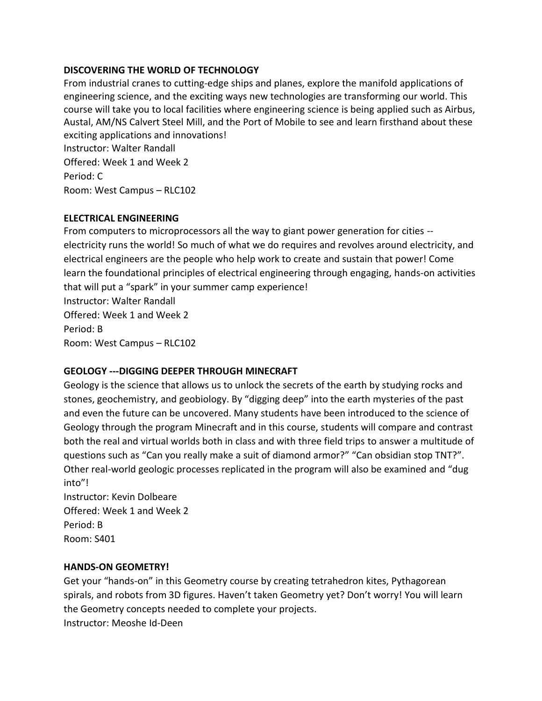## **DISCOVERING THE WORLD OF TECHNOLOGY**

From industrial cranes to cutting-edge ships and planes, explore the manifold applications of engineering science, and the exciting ways new technologies are transforming our world. This course will take you to local facilities where engineering science is being applied such as Airbus, Austal, AM/NS Calvert Steel Mill, and the Port of Mobile to see and learn firsthand about these exciting applications and innovations! Instructor: Walter Randall Offered: Week 1 and Week 2 Period: C Room: West Campus – RLC102

### **ELECTRICAL ENGINEERING**

From computers to microprocessors all the way to giant power generation for cities - electricity runs the world! So much of what we do requires and revolves around electricity, and electrical engineers are the people who help work to create and sustain that power! Come learn the foundational principles of electrical engineering through engaging, hands-on activities that will put a "spark" in your summer camp experience! Instructor: Walter Randall Offered: Week 1 and Week 2 Period: B Room: West Campus – RLC102

## **GEOLOGY ---DIGGING DEEPER THROUGH MINECRAFT**

Geology is the science that allows us to unlock the secrets of the earth by studying rocks and stones, geochemistry, and geobiology. By "digging deep" into the earth mysteries of the past and even the future can be uncovered. Many students have been introduced to the science of Geology through the program Minecraft and in this course, students will compare and contrast both the real and virtual worlds both in class and with three field trips to answer a multitude of questions such as "Can you really make a suit of diamond armor?" "Can obsidian stop TNT?". Other real-world geologic processes replicated in the program will also be examined and "dug into"!

Instructor: Kevin Dolbeare Offered: Week 1 and Week 2 Period: B Room: S401

### **HANDS-ON GEOMETRY!**

Get your "hands-on" in this Geometry course by creating tetrahedron kites, Pythagorean spirals, and robots from 3D figures. Haven't taken Geometry yet? Don't worry! You will learn the Geometry concepts needed to complete your projects. Instructor: Meoshe Id-Deen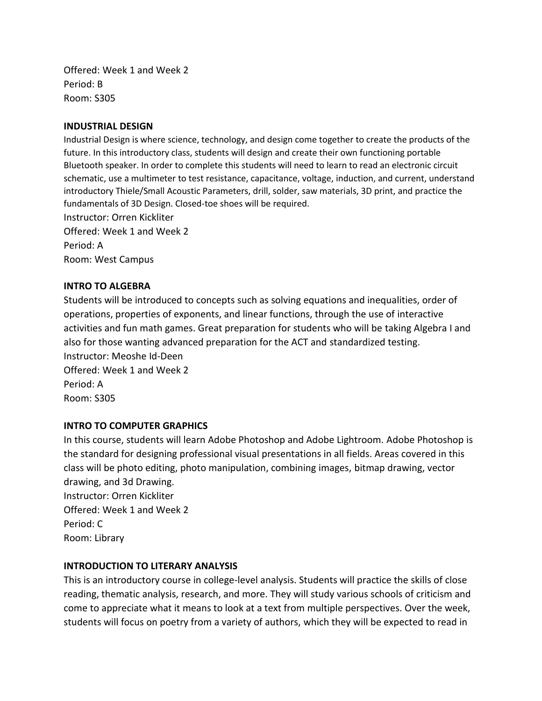Offered: Week 1 and Week 2 Period: B Room: S305

#### **INDUSTRIAL DESIGN**

Industrial Design is where science, technology, and design come together to create the products of the future. In this introductory class, students will design and create their own functioning portable Bluetooth speaker. In order to complete this students will need to learn to read an electronic circuit schematic, use a multimeter to test resistance, capacitance, voltage, induction, and current, understand introductory Thiele/Small Acoustic Parameters, drill, solder, saw materials, 3D print, and practice the fundamentals of 3D Design. Closed-toe shoes will be required.

Instructor: Orren Kickliter Offered: Week 1 and Week 2 Period: A Room: West Campus

#### **INTRO TO ALGEBRA**

Students will be introduced to concepts such as solving equations and inequalities, order of operations, properties of exponents, and linear functions, through the use of interactive activities and fun math games. Great preparation for students who will be taking Algebra I and also for those wanting advanced preparation for the ACT and standardized testing. Instructor: Meoshe Id-Deen Offered: Week 1 and Week 2 Period: A

Room: S305

### **INTRO TO COMPUTER GRAPHICS**

In this course, students will learn Adobe Photoshop and Adobe Lightroom. Adobe Photoshop is the standard for designing professional visual presentations in all fields. Areas covered in this class will be photo editing, photo manipulation, combining images, bitmap drawing, vector drawing, and 3d Drawing. Instructor: Orren Kickliter Offered: Week 1 and Week 2 Period: C Room: Library

### **INTRODUCTION TO LITERARY ANALYSIS**

This is an introductory course in college-level analysis. Students will practice the skills of close reading, thematic analysis, research, and more. They will study various schools of criticism and come to appreciate what it means to look at a text from multiple perspectives. Over the week, students will focus on poetry from a variety of authors, which they will be expected to read in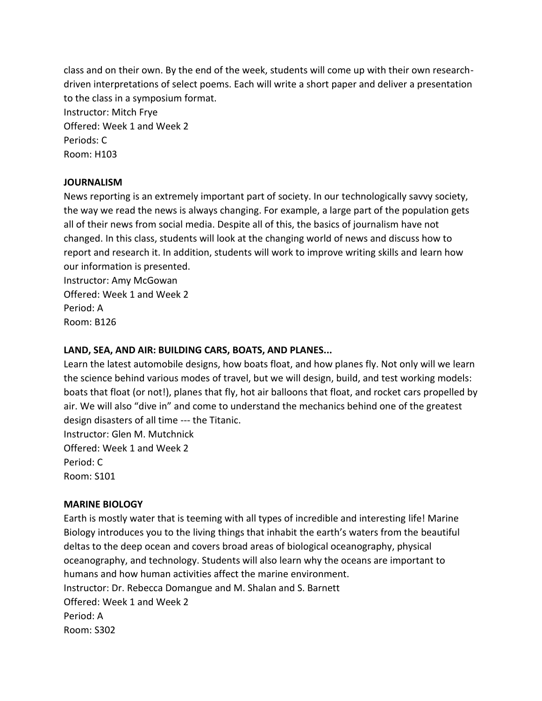class and on their own. By the end of the week, students will come up with their own researchdriven interpretations of select poems. Each will write a short paper and deliver a presentation to the class in a symposium format. Instructor: Mitch Frye Offered: Week 1 and Week 2 Periods: C Room: H103

## **JOURNALISM**

News reporting is an extremely important part of society. In our technologically savvy society, the way we read the news is always changing. For example, a large part of the population gets all of their news from social media. Despite all of this, the basics of journalism have not changed. In this class, students will look at the changing world of news and discuss how to report and research it. In addition, students will work to improve writing skills and learn how our information is presented.

Instructor: Amy McGowan Offered: Week 1 and Week 2 Period: A Room: B126

## **LAND, SEA, AND AIR: BUILDING CARS, BOATS, AND PLANES...**

Learn the latest automobile designs, how boats float, and how planes fly. Not only will we learn the science behind various modes of travel, but we will design, build, and test working models: boats that float (or not!), planes that fly, hot air balloons that float, and rocket cars propelled by air. We will also "dive in" and come to understand the mechanics behind one of the greatest design disasters of all time --- the Titanic.

Instructor: Glen M. Mutchnick Offered: Week 1 and Week 2 Period: C Room: S101

### **MARINE BIOLOGY**

Earth is mostly water that is teeming with all types of incredible and interesting life! Marine Biology introduces you to the living things that inhabit the earth's waters from the beautiful deltas to the deep ocean and covers broad areas of biological oceanography, physical oceanography, and technology. Students will also learn why the oceans are important to humans and how human activities affect the marine environment. Instructor: Dr. Rebecca Domangue and M. Shalan and S. Barnett Offered: Week 1 and Week 2 Period: A Room: S302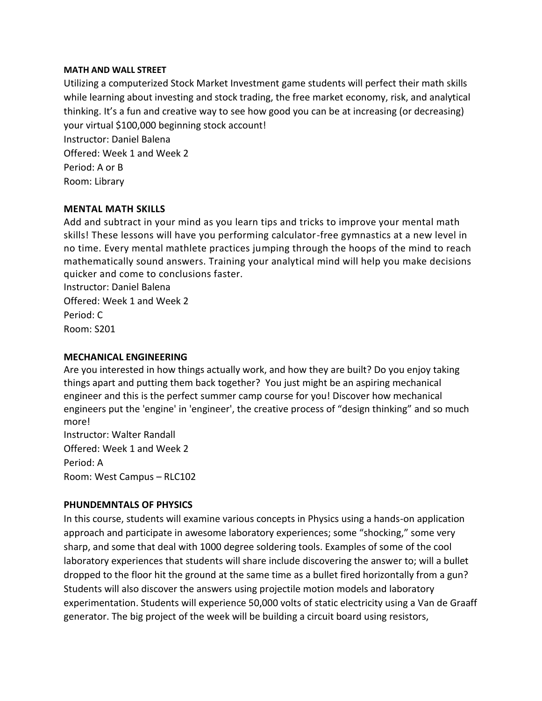#### **MATH AND WALL STREET**

Utilizing a computerized Stock Market Investment game students will perfect their math skills while learning about investing and stock trading, the free market economy, risk, and analytical thinking. It's a fun and creative way to see how good you can be at increasing (or decreasing) your virtual \$100,000 beginning stock account! Instructor: Daniel Balena Offered: Week 1 and Week 2 Period: A or B Room: Library

## **MENTAL MATH SKILLS**

Add and subtract in your mind as you learn tips and tricks to improve your mental math skills! These lessons will have you performing calculator-free gymnastics at a new level in no time. Every mental mathlete practices jumping through the hoops of the mind to reach mathematically sound answers. Training your analytical mind will help you make decisions quicker and come to conclusions faster.

Instructor: Daniel Balena Offered: Week 1 and Week 2 Period: C Room: S201

### **MECHANICAL ENGINEERING**

Are you interested in how things actually work, and how they are built? Do you enjoy taking things apart and putting them back together? You just might be an aspiring mechanical engineer and this is the perfect summer camp course for you! Discover how mechanical engineers put the 'engine' in 'engineer', the creative process of "design thinking" and so much more!

Instructor: Walter Randall Offered: Week 1 and Week 2 Period: A Room: West Campus – RLC102

### **PHUNDEMNTALS OF PHYSICS**

In this course, students will examine various concepts in Physics using a hands-on application approach and participate in awesome laboratory experiences; some "shocking," some very sharp, and some that deal with 1000 degree soldering tools. Examples of some of the cool laboratory experiences that students will share include discovering the answer to; will a bullet dropped to the floor hit the ground at the same time as a bullet fired horizontally from a gun? Students will also discover the answers using projectile motion models and laboratory experimentation. Students will experience 50,000 volts of static electricity using a Van de Graaff generator. The big project of the week will be building a circuit board using resistors,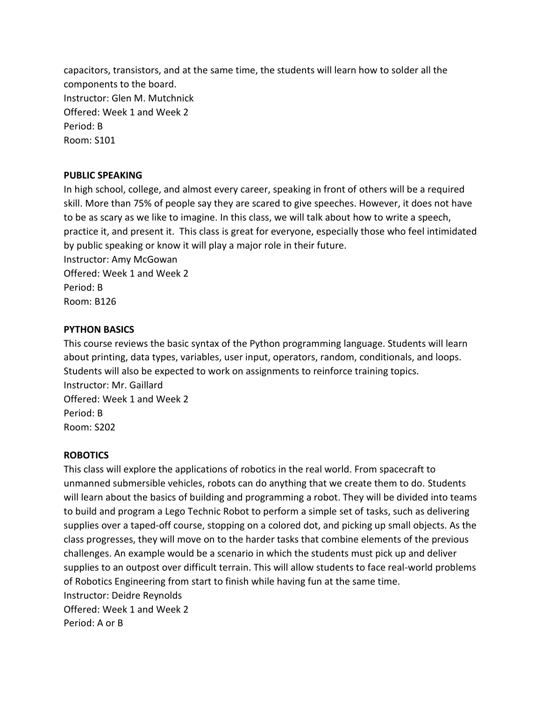capacitors, transistors, and at the same time, the students will learn how to solder all the components to the board. Instructor: Glen M. Mutchnick Offered: Week 1 and Week 2 Period: B Room: S101

## **PUBLIC SPEAKING**

In high school, college, and almost every career, speaking in front of others will be a required skill. More than 75% of people say they are scared to give speeches. However, it does not have to be as scary as we like to imagine. In this class, we will talk about how to write a speech, practice it, and present it. This class is great for everyone, especially those who feel intimidated by public speaking or know it will play a major role in their future. Instructor: Amy McGowan

Offered: Week 1 and Week 2 Period: B Room: B126

## **PYTHON BASICS**

This course reviews the basic syntax of the Python programming language. Students will learn about printing, data types, variables, user input, operators, random, conditionals, and loops. Students will also be expected to work on assignments to reinforce training topics. Instructor: Mr. Gaillard Offered: Week 1 and Week 2 Period: B Room: S202

### **ROBOTICS**

This class will explore the applications of robotics in the real world. From spacecraft to unmanned submersible vehicles, robots can do anything that we create them to do. Students will learn about the basics of building and programming a robot. They will be divided into teams to build and program a Lego Technic Robot to perform a simple set of tasks, such as delivering supplies over a taped-off course, stopping on a colored dot, and picking up small objects. As the class progresses, they will move on to the harder tasks that combine elements of the previous challenges. An example would be a scenario in which the students must pick up and deliver supplies to an outpost over difficult terrain. This will allow students to face real-world problems of Robotics Engineering from start to finish while having fun at the same time. Instructor: Deidre Reynolds Offered: Week 1 and Week 2 Period: A or B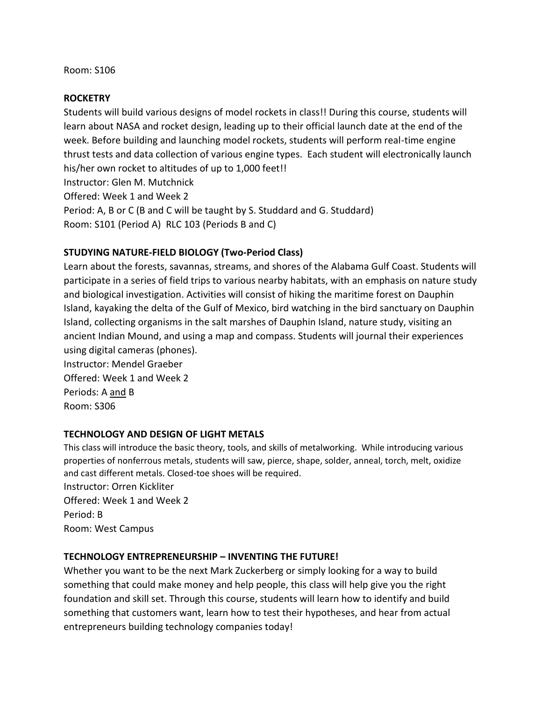#### Room: S106

#### **ROCKETRY**

Students will build various designs of model rockets in class!! During this course, students will learn about NASA and rocket design, leading up to their official launch date at the end of the week. Before building and launching model rockets, students will perform real-time engine thrust tests and data collection of various engine types. Each student will electronically launch his/her own rocket to altitudes of up to 1,000 feet!! Instructor: Glen M. Mutchnick

Offered: Week 1 and Week 2

Period: A, B or C (B and C will be taught by S. Studdard and G. Studdard) Room: S101 (Period A) RLC 103 (Periods B and C)

### **STUDYING NATURE-FIELD BIOLOGY (Two-Period Class)**

Learn about the forests, savannas, streams, and shores of the Alabama Gulf Coast. Students will participate in a series of field trips to various nearby habitats, with an emphasis on nature study and biological investigation. Activities will consist of hiking the maritime forest on Dauphin Island, kayaking the delta of the Gulf of Mexico, bird watching in the bird sanctuary on Dauphin Island, collecting organisms in the salt marshes of Dauphin Island, nature study, visiting an ancient Indian Mound, and using a map and compass. Students will journal their experiences using digital cameras (phones).

Instructor: Mendel Graeber Offered: Week 1 and Week 2 Periods: A and B Room: S306

### **TECHNOLOGY AND DESIGN OF LIGHT METALS**

This class will introduce the basic theory, tools, and skills of metalworking. While introducing various properties of nonferrous metals, students will saw, pierce, shape, solder, anneal, torch, melt, oxidize and cast different metals. Closed-toe shoes will be required. Instructor: Orren Kickliter

Offered: Week 1 and Week 2 Period: B Room: West Campus

### **TECHNOLOGY ENTREPRENEURSHIP – INVENTING THE FUTURE!**

Whether you want to be the next Mark Zuckerberg or simply looking for a way to build something that could make money and help people, this class will help give you the right foundation and skill set. Through this course, students will learn how to identify and build something that customers want, learn how to test their hypotheses, and hear from actual entrepreneurs building technology companies today!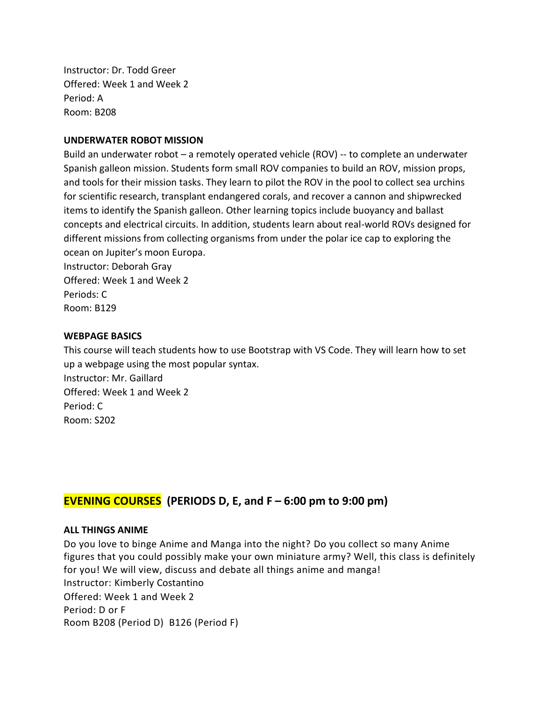Instructor: Dr. Todd Greer Offered: Week 1 and Week 2 Period: A Room: B208

### **UNDERWATER ROBOT MISSION**

Build an underwater robot – a remotely operated vehicle (ROV) -- to complete an underwater Spanish galleon mission. Students form small ROV companies to build an ROV, mission props, and tools for their mission tasks. They learn to pilot the ROV in the pool to collect sea urchins for scientific research, transplant endangered corals, and recover a cannon and shipwrecked items to identify the Spanish galleon. Other learning topics include buoyancy and ballast concepts and electrical circuits. In addition, students learn about real-world ROVs designed for different missions from collecting organisms from under the polar ice cap to exploring the ocean on Jupiter's moon Europa.

Instructor: Deborah Gray Offered: Week 1 and Week 2 Periods: C Room: B129

#### **WEBPAGE BASICS**

This course will teach students how to use Bootstrap with VS Code. They will learn how to set up a webpage using the most popular syntax. Instructor: Mr. Gaillard Offered: Week 1 and Week 2 Period: C Room: S202

# **EVENING COURSES (PERIODS D, E, and F – 6:00 pm to 9:00 pm)**

#### **ALL THINGS ANIME**

Do you love to binge Anime and Manga into the night? Do you collect so many Anime figures that you could possibly make your own miniature army? Well, this class is definitely for you! We will view, discuss and debate all things anime and manga! Instructor: Kimberly Costantino Offered: Week 1 and Week 2 Period: D or F Room B208 (Period D) B126 (Period F)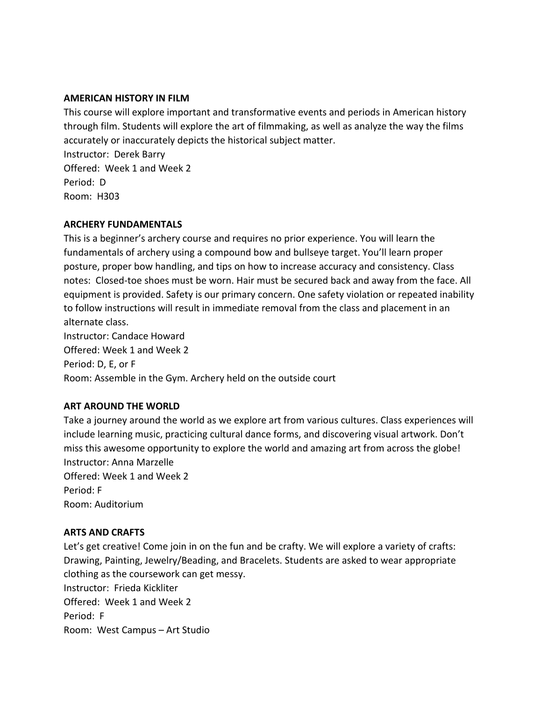### **AMERICAN HISTORY IN FILM**

This course will explore important and transformative events and periods in American history through film. Students will explore the art of filmmaking, as well as analyze the way the films accurately or inaccurately depicts the historical subject matter. Instructor: Derek Barry Offered: Week 1 and Week 2 Period: D Room: H303

### **ARCHERY FUNDAMENTALS**

This is a beginner's archery course and requires no prior experience. You will learn the fundamentals of archery using a compound bow and bullseye target. You'll learn proper posture, proper bow handling, and tips on how to increase accuracy and consistency. Class notes: Closed-toe shoes must be worn. Hair must be secured back and away from the face. All equipment is provided. Safety is our primary concern. One safety violation or repeated inability to follow instructions will result in immediate removal from the class and placement in an alternate class.

Instructor: Candace Howard Offered: Week 1 and Week 2 Period: D, E, or F Room: Assemble in the Gym. Archery held on the outside court

## **ART AROUND THE WORLD**

Take a journey around the world as we explore art from various cultures. Class experiences will include learning music, practicing cultural dance forms, and discovering visual artwork. Don't miss this awesome opportunity to explore the world and amazing art from across the globe! Instructor: Anna Marzelle Offered: Week 1 and Week 2 Period: F Room: Auditorium

### **ARTS AND CRAFTS**

Let's get creative! Come join in on the fun and be crafty. We will explore a variety of crafts: Drawing, Painting, Jewelry/Beading, and Bracelets. Students are asked to wear appropriate clothing as the coursework can get messy. Instructor: Frieda Kickliter Offered: Week 1 and Week 2 Period: F Room: West Campus – Art Studio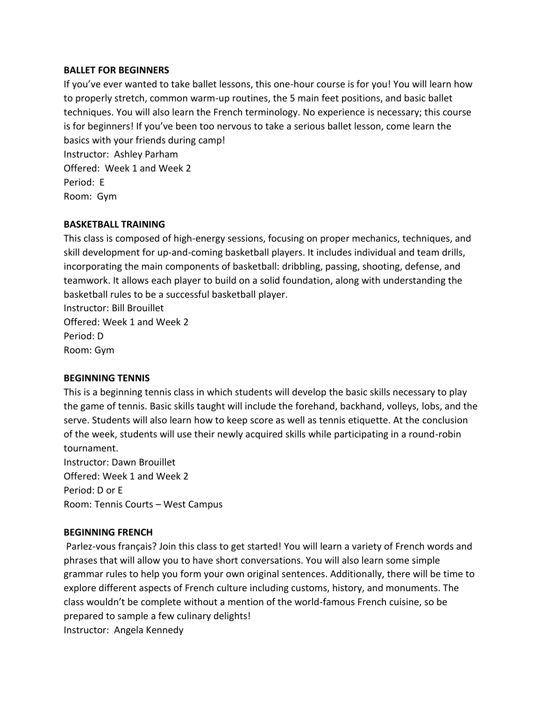### **BALLET FOR BEGINNERS**

If you've ever wanted to take ballet lessons, this one-hour course is for you! You will learn how to properly stretch, common warm-up routines, the 5 main feet positions, and basic ballet techniques. You will also learn the French terminology. No experience is necessary; this course is for beginners! If you've been too nervous to take a serious ballet lesson, come learn the basics with your friends during camp! Instructor: Ashley Parham Offered: Week 1 and Week 2 Period: E Room: Gym

## **BASKETBALL TRAINING**

This class is composed of high-energy sessions, focusing on proper mechanics, techniques, and skill development for up-and-coming basketball players. It includes individual and team drills, incorporating the main components of basketball: dribbling, passing, shooting, defense, and teamwork. It allows each player to build on a solid foundation, along with understanding the basketball rules to be a successful basketball player.

Instructor: Bill Brouillet Offered: Week 1 and Week 2 Period: D Room: Gym

### **BEGINNING TENNIS**

This is a beginning tennis class in which students will develop the basic skills necessary to play the game of tennis. Basic skills taught will include the forehand, backhand, volleys, lobs, and the serve. Students will also learn how to keep score as well as tennis etiquette. At the conclusion of the week, students will use their newly acquired skills while participating in a round-robin tournament.

Instructor: Dawn Brouillet Offered: Week 1 and Week 2 Period: D or E Room: Tennis Courts – West Campus

## **BEGINNING FRENCH**

Parlez-vous français? Join this class to get started! You will learn a variety of French words and phrases that will allow you to have short conversations. You will also learn some simple grammar rules to help you form your own original sentences. Additionally, there will be time to explore different aspects of French culture including customs, history, and monuments. The class wouldn't be complete without a mention of the world-famous French cuisine, so be prepared to sample a few culinary delights! Instructor: Angela Kennedy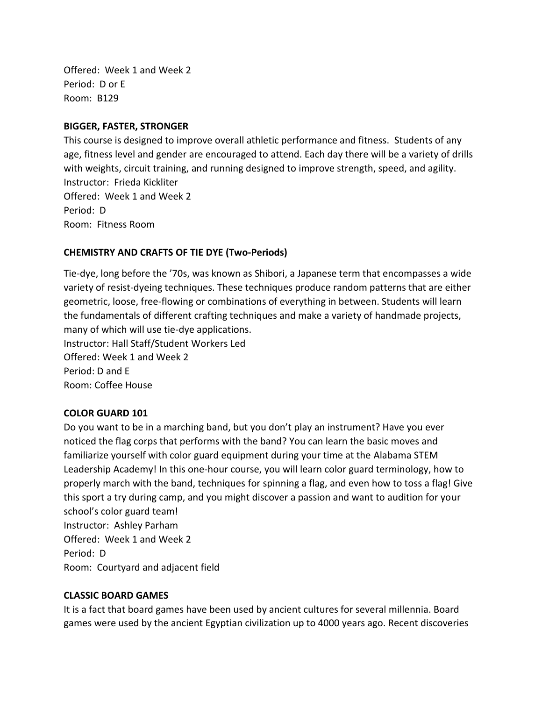Offered: Week 1 and Week 2 Period: D or E Room: B129

## **BIGGER, FASTER, STRONGER**

This course is designed to improve overall athletic performance and fitness. Students of any age, fitness level and gender are encouraged to attend. Each day there will be a variety of drills with weights, circuit training, and running designed to improve strength, speed, and agility. Instructor: Frieda Kickliter Offered: Week 1 and Week 2 Period: D Room: Fitness Room

## **CHEMISTRY AND CRAFTS OF TIE DYE (Two-Periods)**

Tie-dye, long before the '70s, was known as Shibori, a Japanese term that encompasses a wide variety of resist-dyeing techniques. These techniques produce random patterns that are either geometric, loose, free-flowing or combinations of everything in between. Students will learn the fundamentals of different crafting techniques and make a variety of handmade projects, many of which will use tie-dye applications. Instructor: Hall Staff/Student Workers Led Offered: Week 1 and Week 2 Period: D and E Room: Coffee House

## **COLOR GUARD 101**

Do you want to be in a marching band, but you don't play an instrument? Have you ever noticed the flag corps that performs with the band? You can learn the basic moves and familiarize yourself with color guard equipment during your time at the Alabama STEM Leadership Academy! In this one-hour course, you will learn color guard terminology, how to properly march with the band, techniques for spinning a flag, and even how to toss a flag! Give this sport a try during camp, and you might discover a passion and want to audition for your school's color guard team! Instructor: Ashley Parham Offered: Week 1 and Week 2 Period: D Room: Courtyard and adjacent field

### **CLASSIC BOARD GAMES**

It is a fact that board games have been used by ancient cultures for several millennia. Board games were used by the ancient Egyptian civilization up to 4000 years ago. Recent discoveries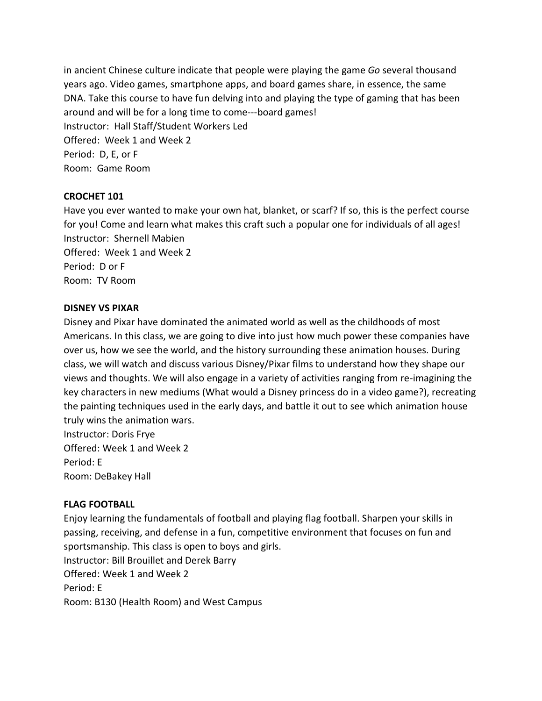in ancient Chinese culture indicate that people were playing the game *Go* several thousand years ago. Video games, smartphone apps, and board games share, in essence, the same DNA. Take this course to have fun delving into and playing the type of gaming that has been around and will be for a long time to come---board games! Instructor: Hall Staff/Student Workers Led Offered: Week 1 and Week 2 Period: D, E, or F Room: Game Room

## **CROCHET 101**

Have you ever wanted to make your own hat, blanket, or scarf? If so, this is the perfect course for you! Come and learn what makes this craft such a popular one for individuals of all ages! Instructor: Shernell Mabien Offered: Week 1 and Week 2 Period: D or F

### **DISNEY VS PIXAR**

Room: TV Room

Disney and Pixar have dominated the animated world as well as the childhoods of most Americans. In this class, we are going to dive into just how much power these companies have over us, how we see the world, and the history surrounding these animation houses. During class, we will watch and discuss various Disney/Pixar films to understand how they shape our views and thoughts. We will also engage in a variety of activities ranging from re-imagining the key characters in new mediums (What would a Disney princess do in a video game?), recreating the painting techniques used in the early days, and battle it out to see which animation house truly wins the animation wars. Instructor: Doris Frye

Offered: Week 1 and Week 2 Period: E Room: DeBakey Hall

### **FLAG FOOTBALL**

Enjoy learning the fundamentals of football and playing flag football. Sharpen your skills in passing, receiving, and defense in a fun, competitive environment that focuses on fun and sportsmanship. This class is open to boys and girls. Instructor: Bill Brouillet and Derek Barry Offered: Week 1 and Week 2 Period: E Room: B130 (Health Room) and West Campus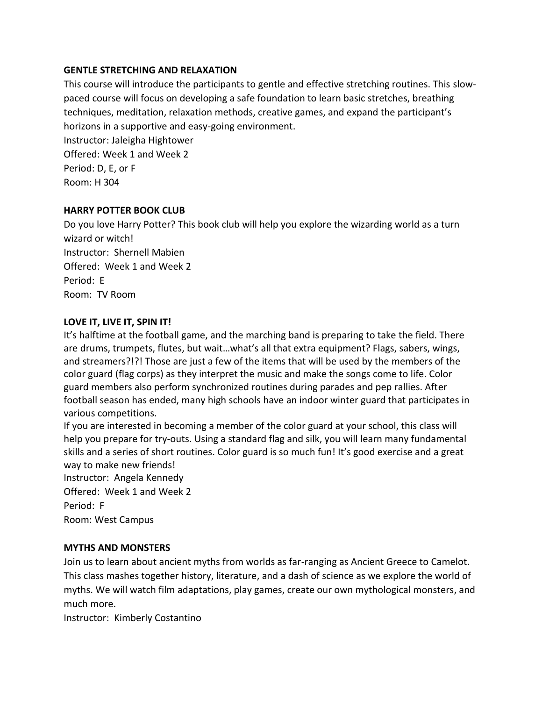## **GENTLE STRETCHING AND RELAXATION**

This course will introduce the participants to gentle and effective stretching routines. This slowpaced course will focus on developing a safe foundation to learn basic stretches, breathing techniques, meditation, relaxation methods, creative games, and expand the participant's horizons in a supportive and easy-going environment.

Instructor: Jaleigha Hightower Offered: Week 1 and Week 2 Period: D, E, or F Room: H 304

### **HARRY POTTER BOOK CLUB**

Do you love Harry Potter? This book club will help you explore the wizarding world as a turn wizard or witch! Instructor: Shernell Mabien Offered: Week 1 and Week 2 Period: E Room: TV Room

## **LOVE IT, LIVE IT, SPIN IT!**

It's halftime at the football game, and the marching band is preparing to take the field. There are drums, trumpets, flutes, but wait…what's all that extra equipment? Flags, sabers, wings, and streamers?!?! Those are just a few of the items that will be used by the members of the color guard (flag corps) as they interpret the music and make the songs come to life. Color guard members also perform synchronized routines during parades and pep rallies. After football season has ended, many high schools have an indoor winter guard that participates in various competitions.

If you are interested in becoming a member of the color guard at your school, this class will help you prepare for try-outs. Using a standard flag and silk, you will learn many fundamental skills and a series of short routines. Color guard is so much fun! It's good exercise and a great way to make new friends!

Instructor: Angela Kennedy Offered: Week 1 and Week 2 Period: F Room: West Campus

### **MYTHS AND MONSTERS**

Join us to learn about ancient myths from worlds as far-ranging as Ancient Greece to Camelot. This class mashes together history, literature, and a dash of science as we explore the world of myths. We will watch film adaptations, play games, create our own mythological monsters, and much more.

Instructor: Kimberly Costantino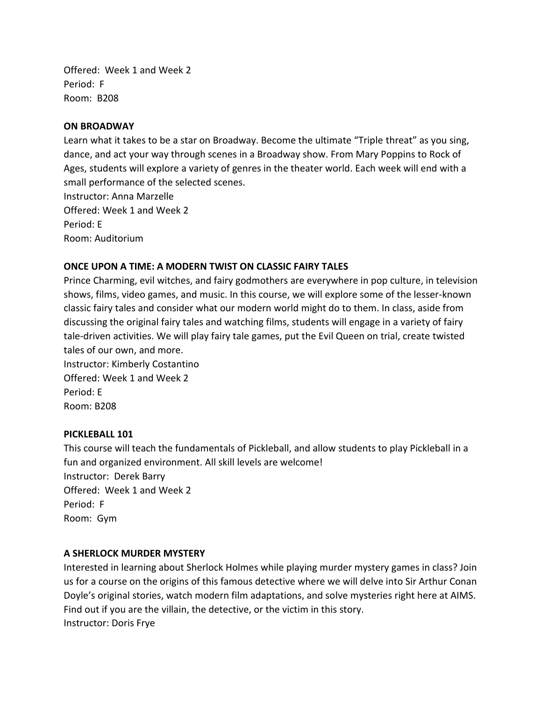Offered: Week 1 and Week 2 Period: F Room: B208

#### **ON BROADWAY**

Learn what it takes to be a star on Broadway. Become the ultimate "Triple threat" as you sing, dance, and act your way through scenes in a Broadway show. From Mary Poppins to Rock of Ages, students will explore a variety of genres in the theater world. Each week will end with a small performance of the selected scenes.

Instructor: Anna Marzelle Offered: Week 1 and Week 2 Period: E Room: Auditorium

### **ONCE UPON A TIME: A MODERN TWIST ON CLASSIC FAIRY TALES**

Prince Charming, evil witches, and fairy godmothers are everywhere in pop culture, in television shows, films, video games, and music. In this course, we will explore some of the lesser-known classic fairy tales and consider what our modern world might do to them. In class, aside from discussing the original fairy tales and watching films, students will engage in a variety of fairy tale-driven activities. We will play fairy tale games, put the Evil Queen on trial, create twisted tales of our own, and more.

Instructor: Kimberly Costantino Offered: Week 1 and Week 2 Period: E Room: B208

#### **PICKLEBALL 101**

This course will teach the fundamentals of Pickleball, and allow students to play Pickleball in a fun and organized environment. All skill levels are welcome! Instructor: Derek Barry Offered: Week 1 and Week 2 Period: F Room: Gym

#### **A SHERLOCK MURDER MYSTERY**

Interested in learning about Sherlock Holmes while playing murder mystery games in class? Join us for a course on the origins of this famous detective where we will delve into Sir Arthur Conan Doyle's original stories, watch modern film adaptations, and solve mysteries right here at AIMS. Find out if you are the villain, the detective, or the victim in this story. Instructor: Doris Frye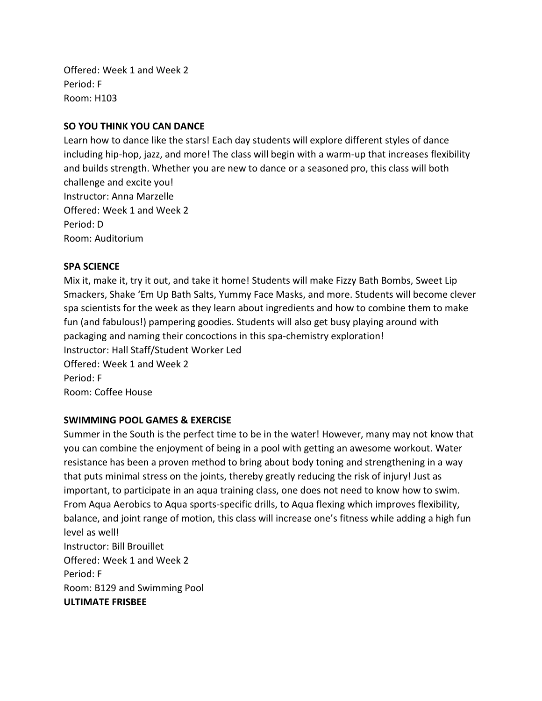Offered: Week 1 and Week 2 Period: F Room: H103

## **SO YOU THINK YOU CAN DANCE**

Learn how to dance like the stars! Each day students will explore different styles of dance including hip-hop, jazz, and more! The class will begin with a warm-up that increases flexibility and builds strength. Whether you are new to dance or a seasoned pro, this class will both challenge and excite you! Instructor: Anna Marzelle Offered: Week 1 and Week 2 Period: D Room: Auditorium

### **SPA SCIENCE**

Mix it, make it, try it out, and take it home! Students will make Fizzy Bath Bombs, Sweet Lip Smackers, Shake 'Em Up Bath Salts, Yummy Face Masks, and more. Students will become clever spa scientists for the week as they learn about ingredients and how to combine them to make fun (and fabulous!) pampering goodies. Students will also get busy playing around with packaging and naming their concoctions in this spa-chemistry exploration! Instructor: Hall Staff/Student Worker Led Offered: Week 1 and Week 2 Period: F Room: Coffee House

### **SWIMMING POOL GAMES & EXERCISE**

Summer in the South is the perfect time to be in the water! However, many may not know that you can combine the enjoyment of being in a pool with getting an awesome workout. Water resistance has been a proven method to bring about body toning and strengthening in a way that puts minimal stress on the joints, thereby greatly reducing the risk of injury! Just as important, to participate in an aqua training class, one does not need to know how to swim. From Aqua Aerobics to Aqua sports-specific drills, to Aqua flexing which improves flexibility, balance, and joint range of motion, this class will increase one's fitness while adding a high fun level as well! Instructor: Bill Brouillet Offered: Week 1 and Week 2 Period: F Room: B129 and Swimming Pool **ULTIMATE FRISBEE**